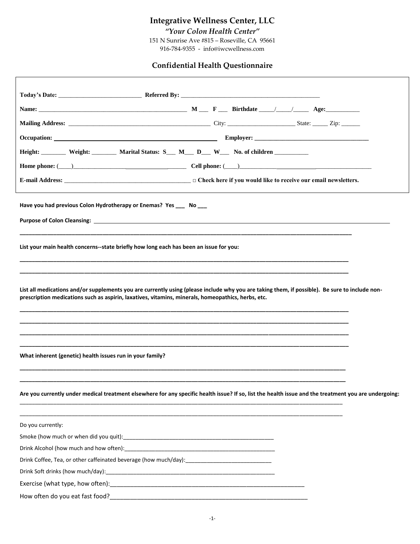# **Integrative Wellness Center, LLC**

*"Your Colon Health Center"*

151 N Sunrise Ave #815 – Roseville, CA 95661 916-784-9355 - info@iwcwellness.com

# **Confidential Health Questionnaire**

| Height: Weight: Weight: Marital Status: S _ M _ D _ W _ No. of children                                                                                                                                                                              |                                                                                                                                                       |  |  |  |  |
|------------------------------------------------------------------------------------------------------------------------------------------------------------------------------------------------------------------------------------------------------|-------------------------------------------------------------------------------------------------------------------------------------------------------|--|--|--|--|
|                                                                                                                                                                                                                                                      |                                                                                                                                                       |  |  |  |  |
|                                                                                                                                                                                                                                                      |                                                                                                                                                       |  |  |  |  |
| Have you had previous Colon Hydrotherapy or Enemas? Yes ___ No ___<br>Purpose of Colon Cleansing: North State of Colon Cleansing: North State of Colon Cleansing: North State of Colon                                                               |                                                                                                                                                       |  |  |  |  |
| List your main health concerns--state briefly how long each has been an issue for you:                                                                                                                                                               |                                                                                                                                                       |  |  |  |  |
| List all medications and/or supplements you are currently using (please include why you are taking them, if possible). Be sure to include non-<br>prescription medications such as aspirin, laxatives, vitamins, minerals, homeopathics, herbs, etc. |                                                                                                                                                       |  |  |  |  |
| What inherent (genetic) health issues run in your family?                                                                                                                                                                                            |                                                                                                                                                       |  |  |  |  |
|                                                                                                                                                                                                                                                      | Are you currently under medical treatment elsewhere for any specific health issue? If so, list the health issue and the treatment you are undergoing: |  |  |  |  |
| Do you currently:                                                                                                                                                                                                                                    |                                                                                                                                                       |  |  |  |  |
|                                                                                                                                                                                                                                                      |                                                                                                                                                       |  |  |  |  |
|                                                                                                                                                                                                                                                      |                                                                                                                                                       |  |  |  |  |
| Drink Coffee, Tea, or other caffeinated beverage (how much/day):___________________________________                                                                                                                                                  |                                                                                                                                                       |  |  |  |  |
|                                                                                                                                                                                                                                                      |                                                                                                                                                       |  |  |  |  |
|                                                                                                                                                                                                                                                      |                                                                                                                                                       |  |  |  |  |
|                                                                                                                                                                                                                                                      |                                                                                                                                                       |  |  |  |  |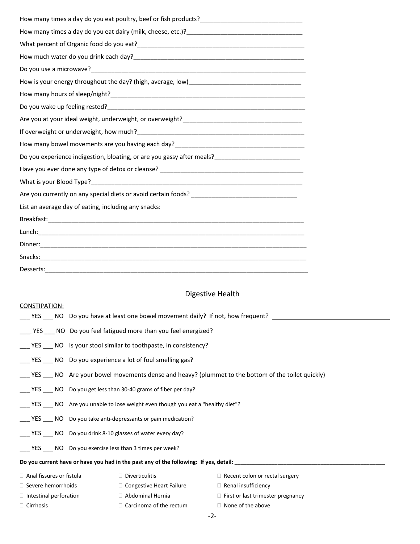| How much water do you drink each day?<br>Subsequently and the manufacture of the manufacture of the state of the state of the state of the state of th |  |  |
|--------------------------------------------------------------------------------------------------------------------------------------------------------|--|--|
|                                                                                                                                                        |  |  |
| How is your energy throughout the day? (high, average, low) [100] [2012] [2012] [2012] [2012] [2012] [2012] [2                                         |  |  |
|                                                                                                                                                        |  |  |
|                                                                                                                                                        |  |  |
|                                                                                                                                                        |  |  |
|                                                                                                                                                        |  |  |
|                                                                                                                                                        |  |  |
| Do you experience indigestion, bloating, or are you gassy after meals?                                                                                 |  |  |
|                                                                                                                                                        |  |  |
|                                                                                                                                                        |  |  |
|                                                                                                                                                        |  |  |
| List an average day of eating, including any snacks:                                                                                                   |  |  |
|                                                                                                                                                        |  |  |
|                                                                                                                                                        |  |  |
|                                                                                                                                                        |  |  |
|                                                                                                                                                        |  |  |
| Desserts:                                                                                                                                              |  |  |

# Digestive Health

| CONSTIPATION:                                                                              |                                                                                                |                                                                         |  |  |  |
|--------------------------------------------------------------------------------------------|------------------------------------------------------------------------------------------------|-------------------------------------------------------------------------|--|--|--|
|                                                                                            |                                                                                                | NO Do you have at least one bowel movement daily? If not, how frequent? |  |  |  |
|                                                                                            | YES NO Do you feel fatigued more than you feel energized?                                      |                                                                         |  |  |  |
|                                                                                            | YES NO Is your stool similar to toothpaste, in consistency?                                    |                                                                         |  |  |  |
|                                                                                            | YES NO Do you experience a lot of foul smelling gas?                                           |                                                                         |  |  |  |
|                                                                                            | YES NO Are your bowel movements dense and heavy? (plummet to the bottom of the toilet quickly) |                                                                         |  |  |  |
|                                                                                            | YES NO Do you get less than 30-40 grams of fiber per day?                                      |                                                                         |  |  |  |
|                                                                                            | YES NO Are you unable to lose weight even though you eat a "healthy diet"?                     |                                                                         |  |  |  |
| YES NO Do you take anti-depressants or pain medication?                                    |                                                                                                |                                                                         |  |  |  |
| YES NO Do you drink 8-10 glasses of water every day?                                       |                                                                                                |                                                                         |  |  |  |
| YES NO Do you exercise less than 3 times per week?                                         |                                                                                                |                                                                         |  |  |  |
| Do you current have or have you had in the past any of the following: If yes, detail:      |                                                                                                |                                                                         |  |  |  |
| $\Box$ Anal fissures or fistula                                                            | $\Box$ Diverticulitis                                                                          | $\Box$ Recent colon or rectal surgery                                   |  |  |  |
| $\Box$ Severe hemorrhoids<br>$\Box$ Congestive Heart Failure<br>$\Box$ Renal insufficiency |                                                                                                |                                                                         |  |  |  |

- 
- 
- 
- $\Box$  Intestinal perforation  $\Box$  Abdominal Hernia  $\Box$  First or last trimester pregnancy
- $\Box$  Cirrhosis  $\Box$  Carcinoma of the rectum  $\Box$  None of the above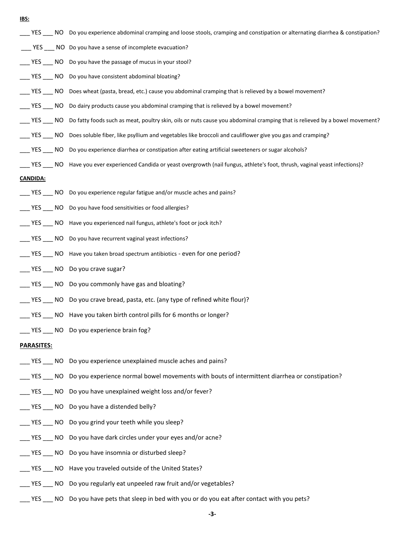**IBS:**

- \_\_\_ YES \_\_\_ NO Do you experience abdominal cramping and loose stools, cramping and constipation or alternating diarrhea & constipation?
- \_\_\_ YES \_\_\_ NO Do you have a sense of incomplete evacuation?
- YES NO Do you have the passage of mucus in your stool?
- \_\_\_ YES \_\_\_ NO Do you have consistent abdominal bloating?
- \_\_\_ YES \_\_\_ NO Does wheat (pasta, bread, etc.) cause you abdominal cramping that is relieved by a bowel movement?
- \_\_\_ YES \_\_\_ NO Do dairy products cause you abdominal cramping that is relieved by a bowel movement?
- \_\_\_ YES \_\_\_ NO Do fatty foods such as meat, poultry skin, oils or nuts cause you abdominal cramping that is relieved by a bowel movement?
- YES NO Does soluble fiber, like psyllium and vegetables like broccoli and cauliflower give you gas and cramping?
- \_\_\_ YES \_\_\_ NO Do you experience diarrhea or constipation after eating artificial sweeteners or sugar alcohols?
- \_\_\_ YES \_\_\_ NO Have you ever experienced Candida or yeast overgrowth (nail fungus, athlete's foot, thrush, vaginal yeast infections)?

#### **CANDIDA:**

- \_\_\_ YES \_\_\_ NO Do you experience regular fatigue and/or muscle aches and pains?
- YES NO Do you have food sensitivities or food allergies?
- \_\_\_ YES \_\_\_ NO Have you experienced nail fungus, athlete's foot or jock itch?
- \_\_\_ YES \_\_\_ NO Do you have recurrent vaginal yeast infections?
- YES NO Have you taken broad spectrum antibiotics even for one period?
- YES NO Do you crave sugar?
- \_\_\_ YES \_\_\_ NO Do you commonly have gas and bloating?
- \_\_\_ YES \_\_\_ NO Do you crave bread, pasta, etc. (any type of refined white flour)?
- \_\_\_ YES \_\_\_ NO Have you taken birth control pills for 6 months or longer?
- YES NO Do you experience brain fog?

#### **PARASITES:**

- YES NO Do you experience unexplained muscle aches and pains?
- YES NO Do you experience normal bowel movements with bouts of intermittent diarrhea or constipation?
- YES NO Do you have unexplained weight loss and/or fever?
- \_\_\_ YES \_\_\_ NO Do you have a distended belly?
- \_\_\_ YES \_\_\_ NO Do you grind your teeth while you sleep?
- \_\_\_ YES \_\_\_ NO Do you have dark circles under your eyes and/or acne?
- \_\_\_ YES \_\_\_ NO Do you have insomnia or disturbed sleep?
- \_\_\_ YES \_\_\_ NO Have you traveled outside of the United States?
- \_\_\_ YES \_\_\_ NO Do you regularly eat unpeeled raw fruit and/or vegetables?
- \_\_\_ YES \_\_\_ NO Do you have pets that sleep in bed with you or do you eat after contact with you pets?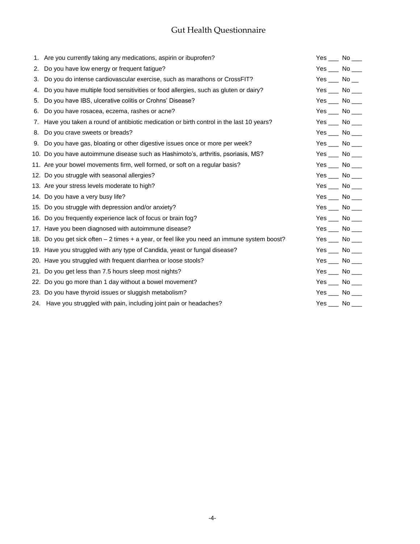# Gut Health Questionnaire

|    | 1. Are you currently taking any medications, aspirin or ibuprofen?                          | Yes $\_\_\_\$ No $\_\_\_\$ |  |
|----|---------------------------------------------------------------------------------------------|----------------------------|--|
| 2. | Do you have low energy or frequent fatigue?                                                 | Yes $\_\_\$ No $\_\_\_\$   |  |
| 3. | Do you do intense cardiovascular exercise, such as marathons or CrossFIT?                   | Yes $\_\_\$ No $\_\_\$     |  |
| 4. | Do you have multiple food sensitivities or food allergies, such as gluten or dairy?         | Yes $\_\_\$ No $\_\_\_\$   |  |
| 5. | Do you have IBS, ulcerative colitis or Crohns' Disease?                                     | Yes $\_\_\$ No $\_\_\_\$   |  |
| 6. | Do you have rosacea, eczema, rashes or acne?                                                | Yes $\_\_\$ No $\_\_\_\$   |  |
|    | 7. Have you taken a round of antibiotic medication or birth control in the last 10 years?   | Yes $\_\_\$ No $\_\_\_\$   |  |
| 8. | Do you crave sweets or breads?                                                              | Yes $\_\_\$ No $\_\_\$     |  |
|    | 9. Do you have gas, bloating or other digestive issues once or more per week?               | $Yes$ No ___               |  |
|    | 10. Do you have autoimmune disease such as Hashimoto's, arthritis, psoriasis, MS?           | Yes $\_\_\$ No $\_\_\$     |  |
|    | 11. Are your bowel movements firm, well formed, or soft on a regular basis?                 | Yes $\_\_\$ No $\_\_\_\$   |  |
|    | 12. Do you struggle with seasonal allergies?                                                | $Yes$ No __                |  |
|    | 13. Are your stress levels moderate to high?                                                | $Yes$ No __                |  |
|    | 14. Do you have a very busy life?                                                           | Yes $\_\_\$ No $\_\_\$     |  |
|    | 15. Do you struggle with depression and/or anxiety?                                         | Yes $\_\_\$ No $\_\_\_\$   |  |
|    | 16. Do you frequently experience lack of focus or brain fog?                                | Yes $\_\_\$ No $\_\_\_\$   |  |
|    | 17. Have you been diagnosed with autoimmune disease?                                        | Yes $\_\_\$ No $\_\_\_\$   |  |
|    | 18. Do you get sick often – 2 times + a year, or feel like you need an immune system boost? | $Yes$ No ___               |  |
|    | 19. Have you struggled with any type of Candida, yeast or fungal disease?                   | Yes $\_\_\$ No $\_\_\$     |  |
|    | 20. Have you struggled with frequent diarrhea or loose stools?                              | $Yes$ No ___               |  |
|    | 21. Do you get less than 7.5 hours sleep most nights?                                       | $Yes$ No ____              |  |
|    | 22. Do you go more than 1 day without a bowel movement?                                     | $Yes$ No ___               |  |
|    | 23. Do you have thyroid issues or sluggish metabolism?                                      | Yes $\_\_\$ No $\_\_\_\$   |  |
|    | 24. Have you struggled with pain, including joint pain or headaches?                        | Yes $\_\_\$ No $\_\_\$     |  |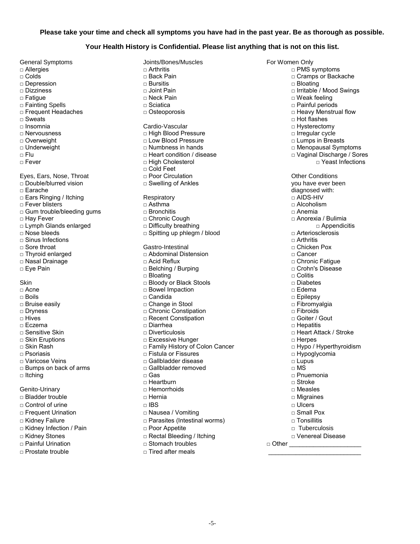#### **Please take your time and check all symptoms you have had in the past year. Be as thorough as possible.**

#### **Your Health History is Confidential. Please list anything that is not on this list.**

□ Fainting Spells □ Painting Spells □ Overweight □ Low Blood Pressure □ Lumps in Breasts □ Gum trouble/bleeding gums □ Bronchitis □ Anemia □ Thyroid enlarged □ Abdominal Distension □ Cancer □ Eye Pain □ Crohnell Discover □ Belching / Burping Skin □ Diabetes □ Diabetes □ Diabetes □ Diabetes Stools □ Diabetes Stools □ Diabetes Stools □

- 
- 

General Symptoms Joints/Bones/Muscles For Women Only □ Allergies □ Arthritis □ PMS symptoms □ Depression □ Bursitis □ Bloating □ Dizziness □ Joint Pain □ Irritable / Mood Swings □ Fatigue □ Neck Pain □ Weak feeling □ Frequent Headaches □ Osteoporosis □ Heavy Menstrual flow □ Sweats □ Hot flashes □ Insomnia Cardio-Vascular □ Hysterectomy □ Nervousness □ High Blood Pressure □ Irregular cycle □ Flu □ □ Teart condition / disease □ □ Vaginal Discharge / Sores □ Fever □ High Cholesterol □ Yeast Infections □ Cold Feet Eyes, Ears, Nose, Throat □ □ Poor Circulation □ □ □ Dessential Other Conditions □ Double/blurred vision □ Swelling of Ankles you have ever been □ Ears Ringing / Itching Respiratory □ AIDS-HIV □ Fever blisters □ Asthma □ Alcoholism □ Hay Fever □ Chronic Cough □ Anorexia / Bulimia □ Lymph Glands enlarged □ Difficulty breathing □ Appendicitis □ Nose bleeds □ Spitting up phlegm / blood □ Arteriosclerosis □ Sinus Infections □ Arthritis □ Sore throat Gastro-Intestinal □ Chicken Pox □ Nasal Drainage □ Acid Reflux □ Chronic Fatigue □ Bloating □ Colitis □ Acne □ Bowel Impaction □ Edema □ Boils □ Candida □ Epilepsy □ Bruise easily □ Change in Stool □ Fibromyalgia □ Dryness □ Chronic Constipation □ Fibroids □ Hives □ Recent Constipation □ Goiter / Gout □ Eczema □ Diarrhea □ Hepatitis □ Sensitive Skin □ Diverticulosis □ Heart Attack / Stroke □ Excessive Hunger □ Nerpes □ Skin Rash □ Family History of Colon Cancer □ Hypo / Hyperthyroidism □ Psoriasis □ Fistula or Fissures □ Hypoglycomia □ Varicose Veins □ Gallbladder disease □ Lupus □ Bumps on back of arms □ Gallbladder removed □ MS □ Itching □ Gas □ Pnuemonia □ Heartburn □ Stroke Genito-Urinary □ Hemorrhoids □ Measles □ Bladder trouble □ Hernia Migraines □ Control of urine □ IBS □ Ulcers □ Frequent Urination □ Nausea / Vomiting □ Small Pox □ Kidney Failure □ Parasites (Intestinal worms) □ Tonsillitis □ Kidney Infection / Pain □ Poor Appetite □ Tuberculosis □ Kidney Stones □ Rectal Bleeding / Itching □ Venereal Disease □ Painful Urination □ Stomach troubles □ Other \_\_\_\_\_\_\_\_\_\_\_\_\_\_\_\_\_\_\_\_\_

□ Prostate trouble □ Tired after meals \_\_\_\_\_\_\_\_\_\_\_\_\_\_\_\_\_\_\_\_\_\_\_\_\_\_\_

□ Cramps or Backache □ Menopausal Symptoms diagnosed with:<br>□ AIDS-HIV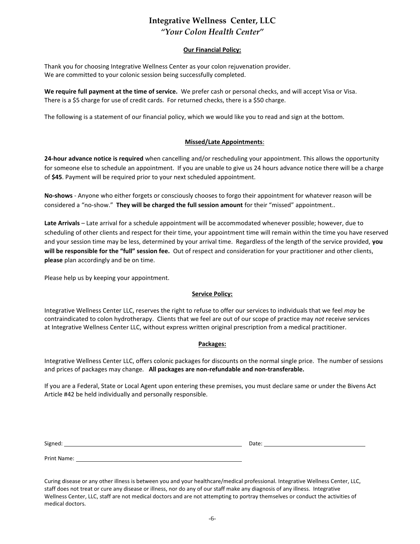# **Integrative Wellness Center, LLC** *"Your Colon Health Center"*

### **Our Financial Policy:**

Thank you for choosing Integrative Wellness Center as your colon rejuvenation provider. We are committed to your colonic session being successfully completed.

**We require full payment at the time of service.** We prefer cash or personal checks, and will accept Visa or Visa. There is a \$5 charge for use of credit cards. For returned checks, there is a \$50 charge.

The following is a statement of our financial policy, which we would like you to read and sign at the bottom.

### **Missed/Late Appointments**:

**24-hour advance notice is required** when cancelling and/or rescheduling your appointment. This allows the opportunity for someone else to schedule an appointment. If you are unable to give us 24 hours advance notice there will be a charge of **\$45**. Payment will be required prior to your next scheduled appointment.

**No-shows** - Anyone who either forgets or consciously chooses to forgo their appointment for whatever reason will be considered a "no-show." **They will be charged the full session amount** for their "missed" appointment..

**Late Arrivals** – Late arrival for a schedule appointment will be accommodated whenever possible; however, due to scheduling of other clients and respect for their time, your appointment time will remain within the time you have reserved and your session time may be less, determined by your arrival time. Regardless of the length of the service provided, **you will be responsible for the "full" session fee.** Out of respect and consideration for your practitioner and other clients, **please** plan accordingly and be on time.

Please help us by keeping your appointment.

### **Service Policy:**

Integrative Wellness Center LLC, reserves the right to refuse to offer our services to individuals that we feel *may* be contraindicated to colon hydrotherapy. Clients that we feel are out of our scope of practice may *not* receive services at Integrative Wellness Center LLC, without express written original prescription from a medical practitioner.

### **Packages:**

Integrative Wellness Center LLC, offers colonic packages for discounts on the normal single price. The number of sessions and prices of packages may change. **All packages are non-refundable and non-transferable.**

If you are a Federal, State or Local Agent upon entering these premises, you must declare same or under the Bivens Act Article #42 be held individually and personally responsible.

Signed: Date: Date: Date: Date: Date: Date: Date: Date: Date: Date: Date: Date: Date: Date: Date: Date: Date: Date: Date: Date: Date: Date: Date: Date: Date: Date: Date: Date: Date: Date: Date: Date: Date: Date: Date: Date

Print Name:

Curing disease or any other illness is between you and your healthcare/medical professional. Integrative Wellness Center, LLC, staff does not treat or cure any disease or illness, nor do any of our staff make any diagnosis of any illness. Integrative Wellness Center, LLC, staff are not medical doctors and are not attempting to portray themselves or conduct the activities of medical doctors.